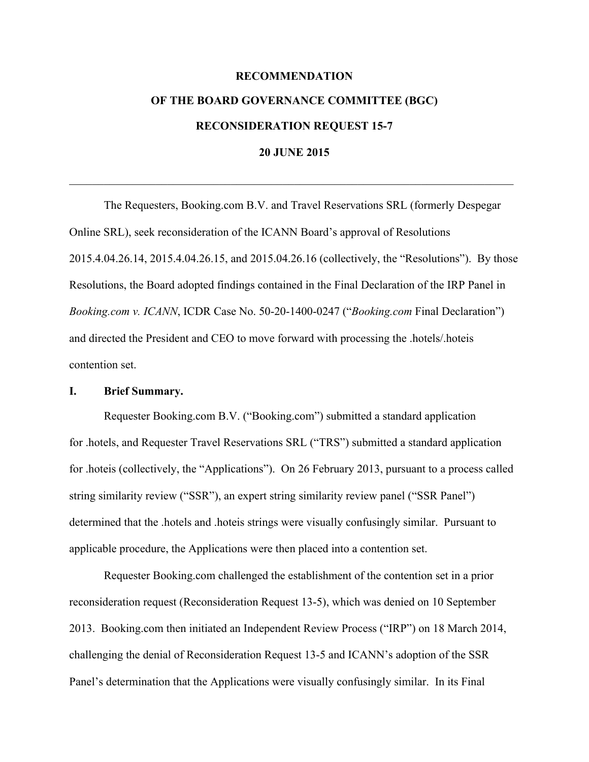# **RECOMMENDATION OF THE BOARD GOVERNANCE COMMITTEE (BGC) RECONSIDERATION REQUEST 15-7 20 JUNE 2015**

 $\mathcal{L}_\mathcal{L} = \{ \mathcal{L}_\mathcal{L} = \{ \mathcal{L}_\mathcal{L} = \{ \mathcal{L}_\mathcal{L} = \{ \mathcal{L}_\mathcal{L} = \{ \mathcal{L}_\mathcal{L} = \{ \mathcal{L}_\mathcal{L} = \{ \mathcal{L}_\mathcal{L} = \{ \mathcal{L}_\mathcal{L} = \{ \mathcal{L}_\mathcal{L} = \{ \mathcal{L}_\mathcal{L} = \{ \mathcal{L}_\mathcal{L} = \{ \mathcal{L}_\mathcal{L} = \{ \mathcal{L}_\mathcal{L} = \{ \mathcal{L}_\mathcal{$ 

The Requesters, Booking.com B.V. and Travel Reservations SRL (formerly Despegar Online SRL), seek reconsideration of the ICANN Board's approval of Resolutions 2015.4.04.26.14, 2015.4.04.26.15, and 2015.04.26.16 (collectively, the "Resolutions"). By those Resolutions, the Board adopted findings contained in the Final Declaration of the IRP Panel in *Booking.com v. ICANN*, ICDR Case No. 50-20-1400-0247 ("*Booking.com* Final Declaration") and directed the President and CEO to move forward with processing the .hotels/.hoteis contention set.

#### **I. Brief Summary.**

Requester Booking.com B.V. ("Booking.com") submitted a standard application for .hotels, and Requester Travel Reservations SRL ("TRS") submitted a standard application for .hoteis (collectively, the "Applications"). On 26 February 2013, pursuant to a process called string similarity review ("SSR"), an expert string similarity review panel ("SSR Panel") determined that the .hotels and .hoteis strings were visually confusingly similar. Pursuant to applicable procedure, the Applications were then placed into a contention set.

Requester Booking.com challenged the establishment of the contention set in a prior reconsideration request (Reconsideration Request 13-5), which was denied on 10 September 2013. Booking.com then initiated an Independent Review Process ("IRP") on 18 March 2014, challenging the denial of Reconsideration Request 13-5 and ICANN's adoption of the SSR Panel's determination that the Applications were visually confusingly similar. In its Final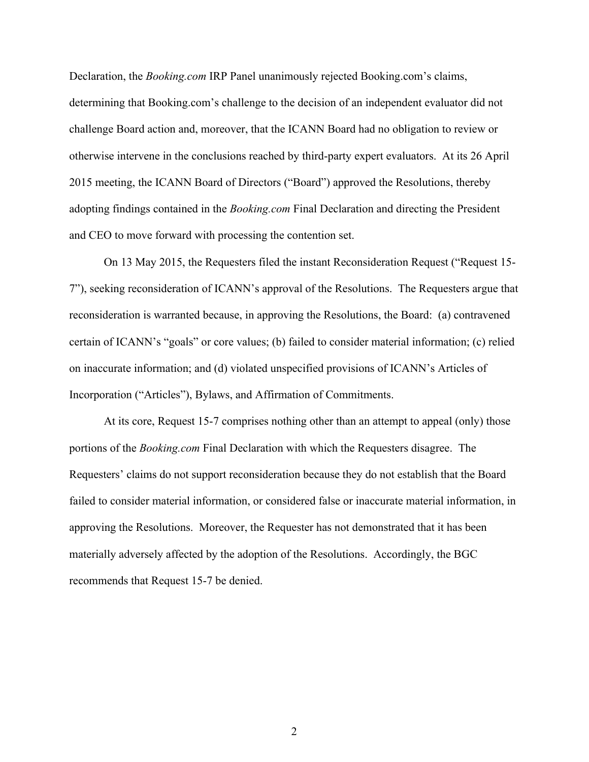Declaration, the *Booking.com* IRP Panel unanimously rejected Booking.com's claims, determining that Booking.com's challenge to the decision of an independent evaluator did not challenge Board action and, moreover, that the ICANN Board had no obligation to review or otherwise intervene in the conclusions reached by third-party expert evaluators. At its 26 April 2015 meeting, the ICANN Board of Directors ("Board") approved the Resolutions, thereby adopting findings contained in the *Booking.com* Final Declaration and directing the President and CEO to move forward with processing the contention set.

On 13 May 2015, the Requesters filed the instant Reconsideration Request ("Request 15- 7"), seeking reconsideration of ICANN's approval of the Resolutions. The Requesters argue that reconsideration is warranted because, in approving the Resolutions, the Board: (a) contravened certain of ICANN's "goals" or core values; (b) failed to consider material information; (c) relied on inaccurate information; and (d) violated unspecified provisions of ICANN's Articles of Incorporation ("Articles"), Bylaws, and Affirmation of Commitments.

At its core, Request 15-7 comprises nothing other than an attempt to appeal (only) those portions of the *Booking.com* Final Declaration with which the Requesters disagree. The Requesters' claims do not support reconsideration because they do not establish that the Board failed to consider material information, or considered false or inaccurate material information, in approving the Resolutions. Moreover, the Requester has not demonstrated that it has been materially adversely affected by the adoption of the Resolutions. Accordingly, the BGC recommends that Request 15-7 be denied.

2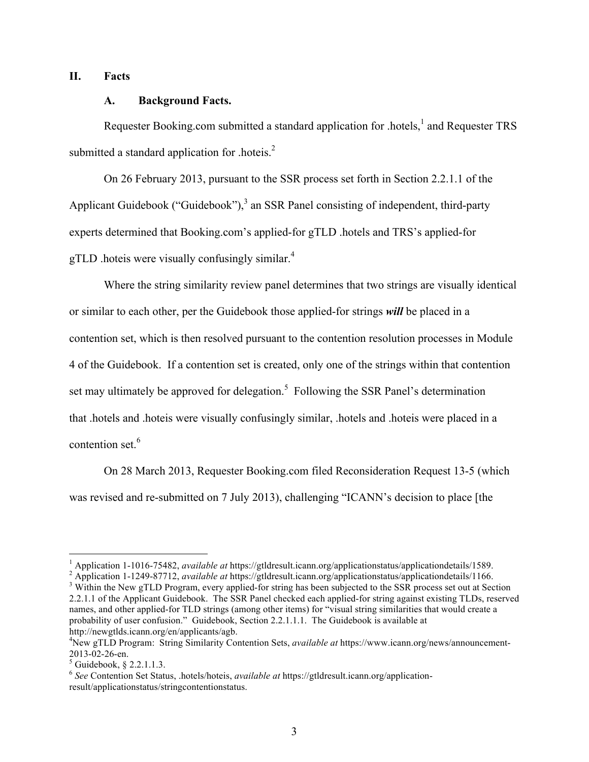# **II. Facts**

## **A. Background Facts.**

Requester Booking.com submitted a standard application for .hotels, $<sup>1</sup>$  and Requester TRS</sup> submitted a standard application for .hoteis. $2$ 

On 26 February 2013, pursuant to the SSR process set forth in Section 2.2.1.1 of the Applicant Guidebook ("Guidebook"), $3$  an SSR Panel consisting of independent, third-party experts determined that Booking.com's applied-for gTLD .hotels and TRS's applied-for gTLD .hoteis were visually confusingly similar.<sup>4</sup>

Where the string similarity review panel determines that two strings are visually identical or similar to each other, per the Guidebook those applied-for strings *will* be placed in a contention set, which is then resolved pursuant to the contention resolution processes in Module 4 of the Guidebook. If a contention set is created, only one of the strings within that contention set may ultimately be approved for delegation.<sup>5</sup> Following the SSR Panel's determination that .hotels and .hoteis were visually confusingly similar, .hotels and .hoteis were placed in a contention set.<sup>6</sup>

On 28 March 2013, Requester Booking.com filed Reconsideration Request 13-5 (which was revised and re-submitted on 7 July 2013), challenging "ICANN's decision to place [the

<sup>1</sup> Application 1-1016-75482, *available at* https://gtldresult.icann.org/applicationstatus/applicationdetails/1589.<br><sup>2</sup> Application 1-1249-87712, *available at* https://gtldresult.icann.org/applicationstatus/applicationd 2.2.1.1 of the Applicant Guidebook. The SSR Panel checked each applied-for string against existing TLDs, reserved names, and other applied-for TLD strings (among other items) for "visual string similarities that would create a probability of user confusion." Guidebook, Section 2.2.1.1.1. The Guidebook is available at http://newgtlds.icann.org/en/applicants/agb.

<sup>4</sup> New gTLD Program: String Similarity Contention Sets, *available at* https://www.icann.org/news/announcement-2013-02-26-en.<br>
<sup>5</sup> Guidebook, § 2.2.1.1.3.

<sup>6</sup> *See* Contention Set Status, .hotels/hoteis, *available at* https://gtldresult.icann.org/applicationresult/applicationstatus/stringcontentionstatus.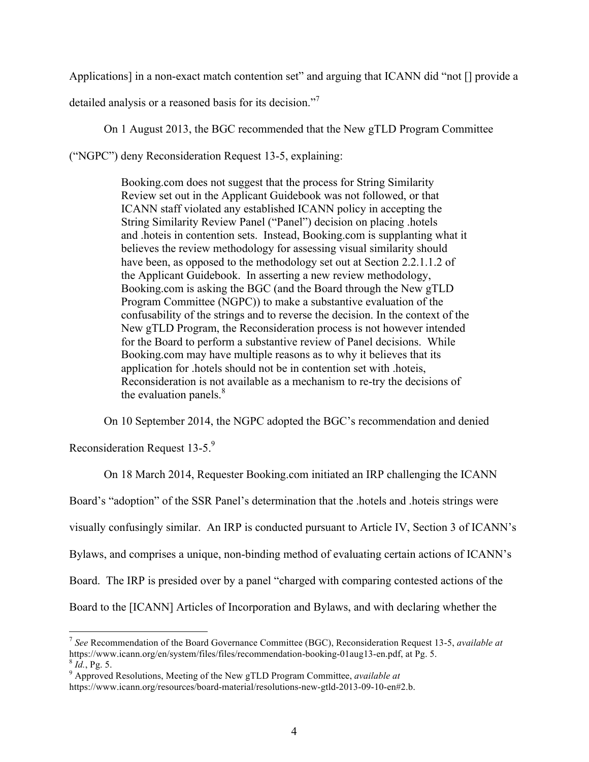Applications] in a non-exact match contention set" and arguing that ICANN did "not [] provide a

detailed analysis or a reasoned basis for its decision."<sup>7</sup>

On 1 August 2013, the BGC recommended that the New gTLD Program Committee

("NGPC") deny Reconsideration Request 13-5, explaining:

Booking.com does not suggest that the process for String Similarity Review set out in the Applicant Guidebook was not followed, or that ICANN staff violated any established ICANN policy in accepting the String Similarity Review Panel ("Panel") decision on placing .hotels and .hoteis in contention sets. Instead, Booking.com is supplanting what it believes the review methodology for assessing visual similarity should have been, as opposed to the methodology set out at Section 2.2.1.1.2 of the Applicant Guidebook. In asserting a new review methodology, Booking.com is asking the BGC (and the Board through the New gTLD Program Committee (NGPC)) to make a substantive evaluation of the confusability of the strings and to reverse the decision. In the context of the New gTLD Program, the Reconsideration process is not however intended for the Board to perform a substantive review of Panel decisions. While Booking.com may have multiple reasons as to why it believes that its application for .hotels should not be in contention set with .hoteis, Reconsideration is not available as a mechanism to re-try the decisions of the evaluation panels. $8<sup>8</sup>$ 

On 10 September 2014, the NGPC adopted the BGC's recommendation and denied

Reconsideration Request 13-5.9

On 18 March 2014, Requester Booking.com initiated an IRP challenging the ICANN Board's "adoption" of the SSR Panel's determination that the .hotels and .hoteis strings were visually confusingly similar. An IRP is conducted pursuant to Article IV, Section 3 of ICANN's Bylaws, and comprises a unique, non-binding method of evaluating certain actions of ICANN's Board. The IRP is presided over by a panel "charged with comparing contested actions of the Board to the [ICANN] Articles of Incorporation and Bylaws, and with declaring whether the

 <sup>7</sup> *See* Recommendation of the Board Governance Committee (BGC), Reconsideration Request 13-5, *available at* https://www.icann.org/en/system/files/files/recommendation-booking-01aug13-en.pdf, at Pg. 5. <sup>8</sup> *Id.*, Pg. 5. 9 Approved Resolutions, Meeting of the New gTLD Program Committee, *available at* 

https://www.icann.org/resources/board-material/resolutions-new-gtld-2013-09-10-en#2.b.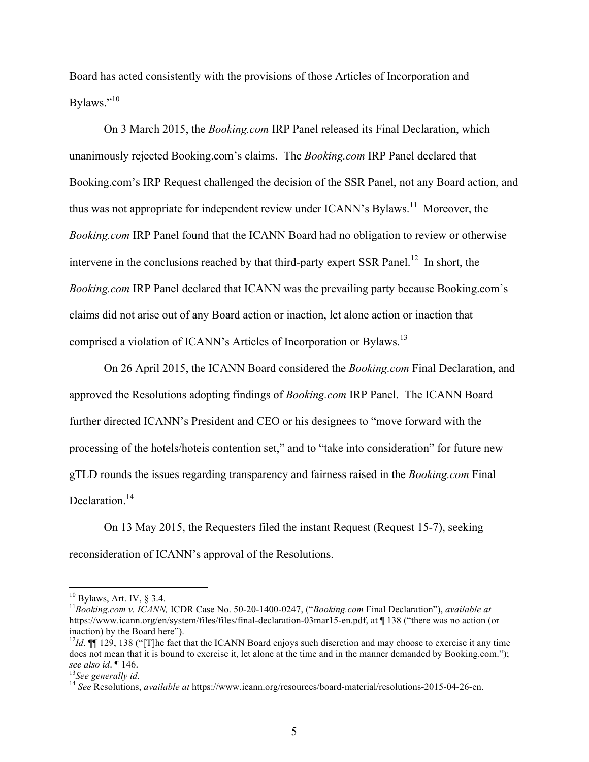Board has acted consistently with the provisions of those Articles of Incorporation and Bylaws."<sup>10</sup>

On 3 March 2015, the *Booking.com* IRP Panel released its Final Declaration, which unanimously rejected Booking.com's claims. The *Booking.com* IRP Panel declared that Booking.com's IRP Request challenged the decision of the SSR Panel, not any Board action, and thus was not appropriate for independent review under ICANN's Bylaws.<sup>11</sup> Moreover, the *Booking.com* IRP Panel found that the ICANN Board had no obligation to review or otherwise intervene in the conclusions reached by that third-party expert SSR Panel.<sup>12</sup> In short, the *Booking.com* IRP Panel declared that ICANN was the prevailing party because Booking.com's claims did not arise out of any Board action or inaction, let alone action or inaction that comprised a violation of ICANN's Articles of Incorporation or Bylaws.<sup>13</sup>

On 26 April 2015, the ICANN Board considered the *Booking.com* Final Declaration, and approved the Resolutions adopting findings of *Booking.com* IRP Panel. The ICANN Board further directed ICANN's President and CEO or his designees to "move forward with the processing of the hotels/hoteis contention set," and to "take into consideration" for future new gTLD rounds the issues regarding transparency and fairness raised in the *Booking.com* Final Declaration.<sup>14</sup>

On 13 May 2015, the Requesters filed the instant Request (Request 15-7), seeking reconsideration of ICANN's approval of the Resolutions.

<sup>10</sup> Bylaws, Art. IV, § 3.4. <sup>11</sup>*Booking.com v. ICANN,* ICDR Case No. 50-20-1400-0247, ("*Booking.com* Final Declaration"), *available at* https://www.icann.org/en/system/files/files/final-declaration-03mar15-en.pdf, at ¶ 138 ("there was no action (or inaction) by the Board here").

 $12Id$ . **[17** 129, 138 ("IT the fact that the ICANN Board enjoys such discretion and may choose to exercise it any time does not mean that it is bound to exercise it, let alone at the time and in the manner demanded by Booking.com."); *see also id.* ¶ 146.<br><sup>13</sup>*See generally id. available at* https://www.icann.org/resources/board-material/resolutions-2015-04-26-en.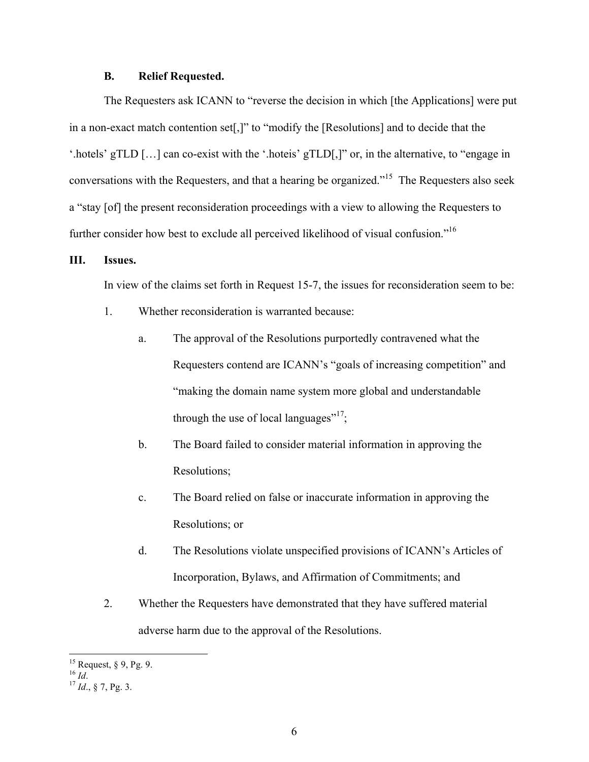#### **B. Relief Requested.**

The Requesters ask ICANN to "reverse the decision in which [the Applications] were put in a non-exact match contention set[,]" to "modify the [Resolutions] and to decide that the '.hotels' gTLD […] can co-exist with the '.hoteis' gTLD[,]" or, in the alternative, to "engage in conversations with the Requesters, and that a hearing be organized."15 The Requesters also seek a "stay [of] the present reconsideration proceedings with a view to allowing the Requesters to further consider how best to exclude all perceived likelihood of visual confusion.<sup>"16</sup>

#### **III. Issues.**

In view of the claims set forth in Request 15-7, the issues for reconsideration seem to be:

- 1. Whether reconsideration is warranted because:
	- a. The approval of the Resolutions purportedly contravened what the Requesters contend are ICANN's "goals of increasing competition" and "making the domain name system more global and understandable through the use of local languages"<sup>17</sup>;
	- b. The Board failed to consider material information in approving the Resolutions;
	- c. The Board relied on false or inaccurate information in approving the Resolutions; or
	- d. The Resolutions violate unspecified provisions of ICANN's Articles of Incorporation, Bylaws, and Affirmation of Commitments; and
- 2. Whether the Requesters have demonstrated that they have suffered material adverse harm due to the approval of the Resolutions.

<sup>15</sup> Request, § 9, Pg. 9. <sup>16</sup> *Id*. <sup>17</sup> *Id*., § 7, Pg. 3.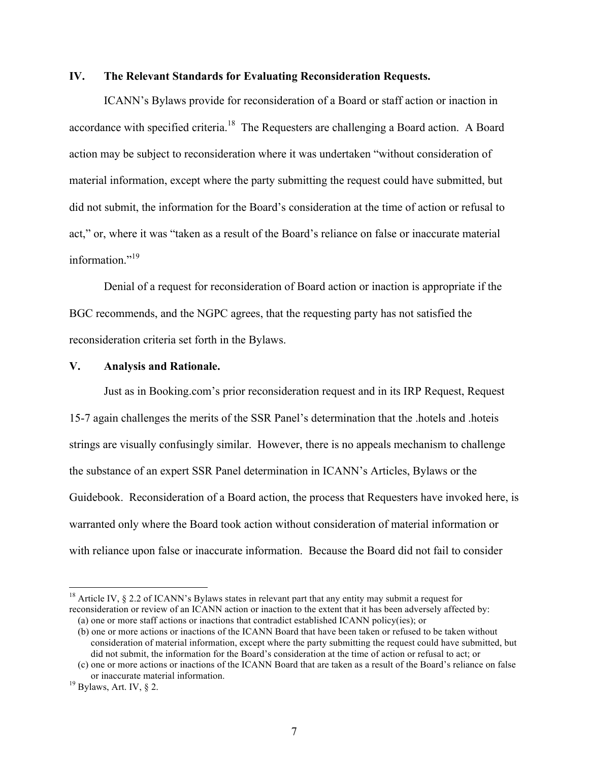#### **IV. The Relevant Standards for Evaluating Reconsideration Requests.**

ICANN's Bylaws provide for reconsideration of a Board or staff action or inaction in accordance with specified criteria.<sup>18</sup> The Requesters are challenging a Board action. A Board action may be subject to reconsideration where it was undertaken "without consideration of material information, except where the party submitting the request could have submitted, but did not submit, the information for the Board's consideration at the time of action or refusal to act," or, where it was "taken as a result of the Board's reliance on false or inaccurate material information $^{19}$ 

Denial of a request for reconsideration of Board action or inaction is appropriate if the BGC recommends, and the NGPC agrees, that the requesting party has not satisfied the reconsideration criteria set forth in the Bylaws.

## **V. Analysis and Rationale.**

Just as in Booking.com's prior reconsideration request and in its IRP Request, Request 15-7 again challenges the merits of the SSR Panel's determination that the .hotels and .hoteis strings are visually confusingly similar. However, there is no appeals mechanism to challenge the substance of an expert SSR Panel determination in ICANN's Articles, Bylaws or the Guidebook. Reconsideration of a Board action, the process that Requesters have invoked here, is warranted only where the Board took action without consideration of material information or with reliance upon false or inaccurate information. Because the Board did not fail to consider

<sup>&</sup>lt;sup>18</sup> Article IV,  $\S$  2.2 of ICANN's Bylaws states in relevant part that any entity may submit a request for reconsideration or review of an ICANN action or inaction to the extent that it has been adversely affected by:

<sup>(</sup>a) one or more staff actions or inactions that contradict established ICANN policy(ies); or

<sup>(</sup>b) one or more actions or inactions of the ICANN Board that have been taken or refused to be taken without consideration of material information, except where the party submitting the request could have submitted, but did not submit, the information for the Board's consideration at the time of action or refusal to act; or

<sup>(</sup>c) one or more actions or inactions of the ICANN Board that are taken as a result of the Board's reliance on false or inaccurate material information. <sup>19</sup> Bylaws, Art. IV, § 2.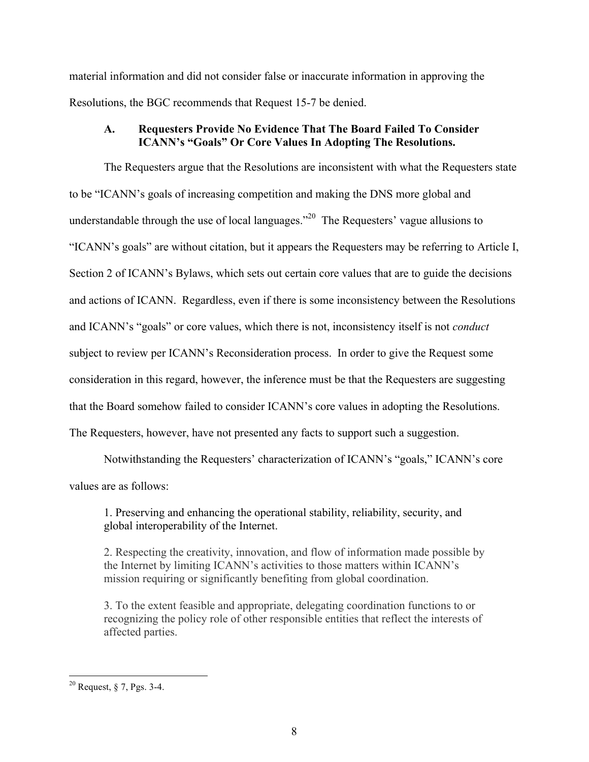material information and did not consider false or inaccurate information in approving the Resolutions, the BGC recommends that Request 15-7 be denied.

## **A. Requesters Provide No Evidence That The Board Failed To Consider ICANN's "Goals" Or Core Values In Adopting The Resolutions.**

The Requesters argue that the Resolutions are inconsistent with what the Requesters state to be "ICANN's goals of increasing competition and making the DNS more global and understandable through the use of local languages."<sup>20</sup> The Requesters' vague allusions to "ICANN's goals" are without citation, but it appears the Requesters may be referring to Article I, Section 2 of ICANN's Bylaws, which sets out certain core values that are to guide the decisions and actions of ICANN. Regardless, even if there is some inconsistency between the Resolutions and ICANN's "goals" or core values, which there is not, inconsistency itself is not *conduct* subject to review per ICANN's Reconsideration process. In order to give the Request some consideration in this regard, however, the inference must be that the Requesters are suggesting that the Board somehow failed to consider ICANN's core values in adopting the Resolutions. The Requesters, however, have not presented any facts to support such a suggestion.

Notwithstanding the Requesters' characterization of ICANN's "goals," ICANN's core values are as follows:

1. Preserving and enhancing the operational stability, reliability, security, and global interoperability of the Internet.

2. Respecting the creativity, innovation, and flow of information made possible by the Internet by limiting ICANN's activities to those matters within ICANN's mission requiring or significantly benefiting from global coordination.

3. To the extent feasible and appropriate, delegating coordination functions to or recognizing the policy role of other responsible entities that reflect the interests of affected parties.

 <sup>20</sup> Request, § 7, Pgs. 3-4.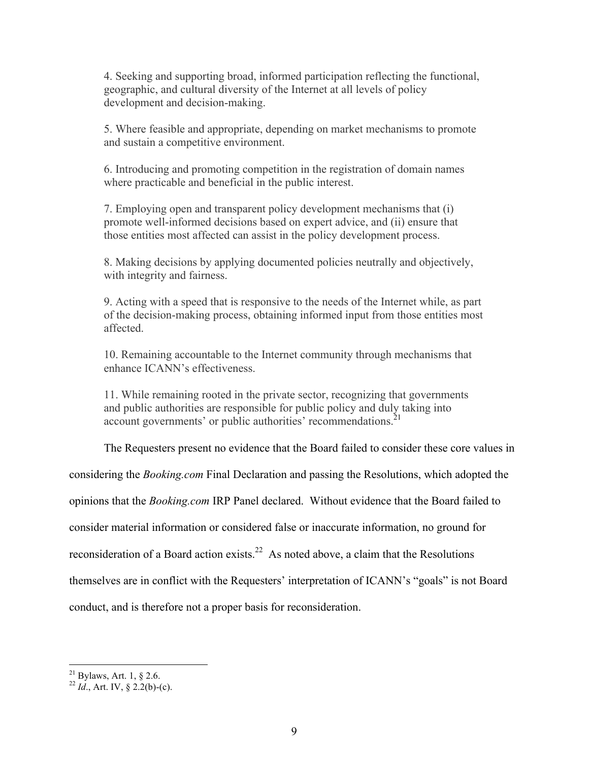4. Seeking and supporting broad, informed participation reflecting the functional, geographic, and cultural diversity of the Internet at all levels of policy development and decision-making.

5. Where feasible and appropriate, depending on market mechanisms to promote and sustain a competitive environment.

6. Introducing and promoting competition in the registration of domain names where practicable and beneficial in the public interest.

7. Employing open and transparent policy development mechanisms that (i) promote well-informed decisions based on expert advice, and (ii) ensure that those entities most affected can assist in the policy development process.

8. Making decisions by applying documented policies neutrally and objectively, with integrity and fairness.

9. Acting with a speed that is responsive to the needs of the Internet while, as part of the decision-making process, obtaining informed input from those entities most affected.

10. Remaining accountable to the Internet community through mechanisms that enhance ICANN's effectiveness.

11. While remaining rooted in the private sector, recognizing that governments and public authorities are responsible for public policy and duly taking into account governments' or public authorities' recommendations.<sup>21</sup>

The Requesters present no evidence that the Board failed to consider these core values in

considering the *Booking.com* Final Declaration and passing the Resolutions, which adopted the

opinions that the *Booking.com* IRP Panel declared. Without evidence that the Board failed to

consider material information or considered false or inaccurate information, no ground for

reconsideration of a Board action exists.<sup>22</sup> As noted above, a claim that the Resolutions

themselves are in conflict with the Requesters' interpretation of ICANN's "goals" is not Board

conduct, and is therefore not a proper basis for reconsideration.

<sup>21</sup> Bylaws, Art. 1, § 2.6. <sup>22</sup> *Id*., Art. IV, § 2.2(b)-(c).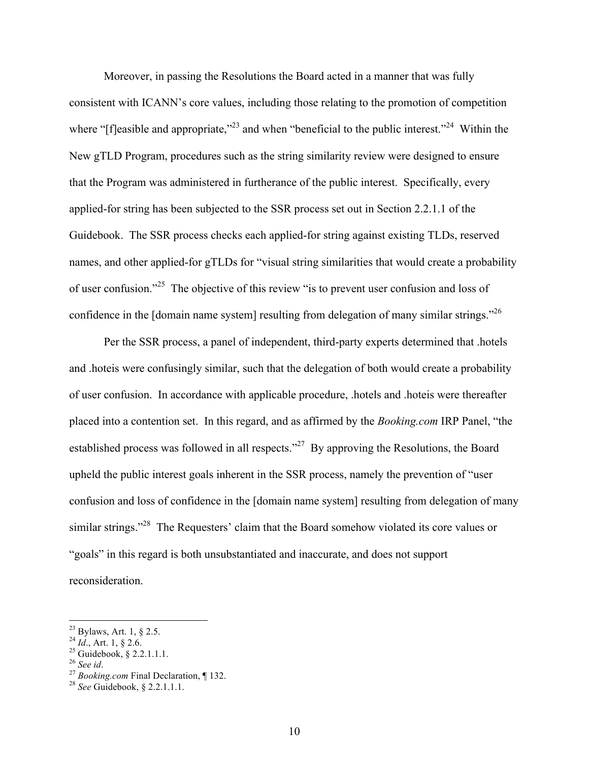Moreover, in passing the Resolutions the Board acted in a manner that was fully consistent with ICANN's core values, including those relating to the promotion of competition where " $f$  [fleasible and appropriate,"<sup>23</sup> and when "beneficial to the public interest."<sup>24</sup> Within the New gTLD Program, procedures such as the string similarity review were designed to ensure that the Program was administered in furtherance of the public interest. Specifically, every applied-for string has been subjected to the SSR process set out in Section 2.2.1.1 of the Guidebook. The SSR process checks each applied-for string against existing TLDs, reserved names, and other applied-for gTLDs for "visual string similarities that would create a probability of user confusion."25 The objective of this review "is to prevent user confusion and loss of confidence in the [domain name system] resulting from delegation of many similar strings."<sup>26</sup>

Per the SSR process, a panel of independent, third-party experts determined that .hotels and .hoteis were confusingly similar, such that the delegation of both would create a probability of user confusion. In accordance with applicable procedure, .hotels and .hoteis were thereafter placed into a contention set. In this regard, and as affirmed by the *Booking.com* IRP Panel, "the established process was followed in all respects."<sup>27</sup> By approving the Resolutions, the Board upheld the public interest goals inherent in the SSR process, namely the prevention of "user confusion and loss of confidence in the [domain name system] resulting from delegation of many similar strings."<sup>28</sup> The Requesters' claim that the Board somehow violated its core values or "goals" in this regard is both unsubstantiated and inaccurate, and does not support reconsideration.

<sup>&</sup>lt;sup>23</sup> Bylaws, Art. 1, § 2.5.<br><sup>24</sup> *Id.*, Art. 1, § 2.6.<br><sup>25</sup> Guidebook, § 2.2.1.1.1.<br><sup>26</sup> *See id.* <sup>27</sup> *Booking.com* Final Declaration, ¶ 132.<br><sup>28</sup> *See* Guidebook, § 2.2.1.1.1.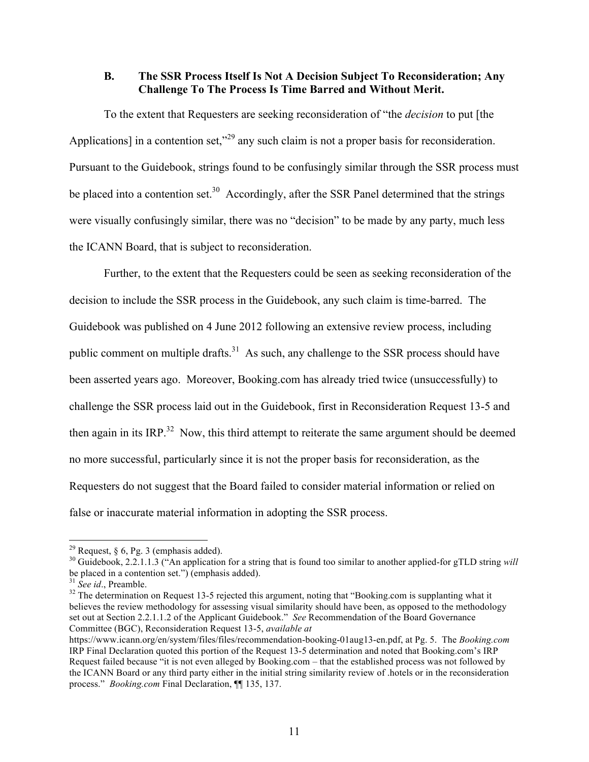#### **B. The SSR Process Itself Is Not A Decision Subject To Reconsideration; Any Challenge To The Process Is Time Barred and Without Merit.**

To the extent that Requesters are seeking reconsideration of "the *decision* to put [the Applications] in a contention set,<sup>229</sup> any such claim is not a proper basis for reconsideration. Pursuant to the Guidebook, strings found to be confusingly similar through the SSR process must be placed into a contention set.<sup>30</sup> Accordingly, after the SSR Panel determined that the strings were visually confusingly similar, there was no "decision" to be made by any party, much less the ICANN Board, that is subject to reconsideration.

Further, to the extent that the Requesters could be seen as seeking reconsideration of the decision to include the SSR process in the Guidebook, any such claim is time-barred. The Guidebook was published on 4 June 2012 following an extensive review process, including public comment on multiple drafts.<sup>31</sup> As such, any challenge to the SSR process should have been asserted years ago. Moreover, Booking.com has already tried twice (unsuccessfully) to challenge the SSR process laid out in the Guidebook, first in Reconsideration Request 13-5 and then again in its IRP.<sup>32</sup> Now, this third attempt to reiterate the same argument should be deemed no more successful, particularly since it is not the proper basis for reconsideration, as the Requesters do not suggest that the Board failed to consider material information or relied on false or inaccurate material information in adopting the SSR process.

<sup>&</sup>lt;sup>29</sup> Request, § 6, Pg. 3 (emphasis added).<br><sup>30</sup> Guidebook, 2.2.1.1.3 ("An application for a string that is found too similar to another applied-for gTLD string *will* be placed in a contention set.") (emphasis added).<br><sup>31</sup> *See id.*, Preamble.<br><sup>32</sup> The determination on Request 13-5 rejected this argument, noting that "Booking.com is supplanting what it

believes the review methodology for assessing visual similarity should have been, as opposed to the methodology set out at Section 2.2.1.1.2 of the Applicant Guidebook." *See* Recommendation of the Board Governance Committee (BGC), Reconsideration Request 13-5, *available at*

https://www.icann.org/en/system/files/files/recommendation-booking-01aug13-en.pdf, at Pg. 5. The *Booking.com* IRP Final Declaration quoted this portion of the Request 13-5 determination and noted that Booking.com's IRP Request failed because "it is not even alleged by Booking.com – that the established process was not followed by the ICANN Board or any third party either in the initial string similarity review of .hotels or in the reconsideration process." *Booking.com* Final Declaration, ¶¶ 135, 137.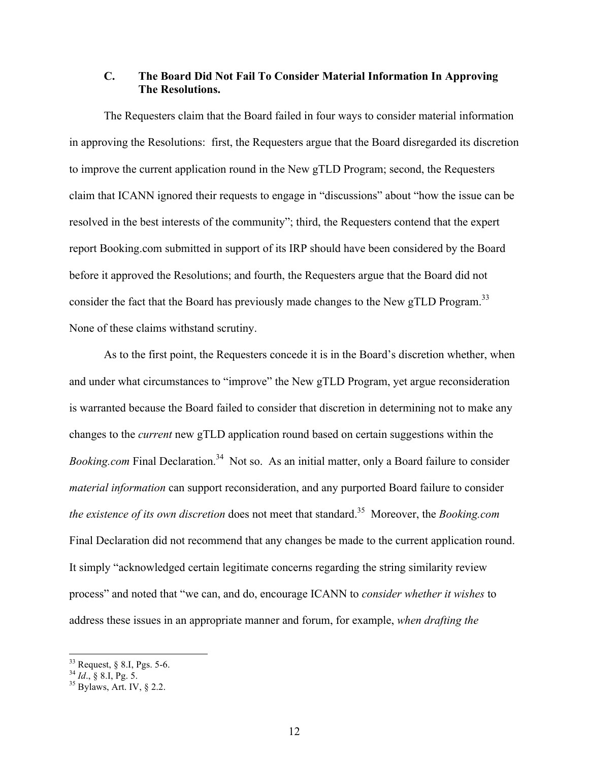# **C. The Board Did Not Fail To Consider Material Information In Approving The Resolutions.**

The Requesters claim that the Board failed in four ways to consider material information in approving the Resolutions: first, the Requesters argue that the Board disregarded its discretion to improve the current application round in the New gTLD Program; second, the Requesters claim that ICANN ignored their requests to engage in "discussions" about "how the issue can be resolved in the best interests of the community"; third, the Requesters contend that the expert report Booking.com submitted in support of its IRP should have been considered by the Board before it approved the Resolutions; and fourth, the Requesters argue that the Board did not consider the fact that the Board has previously made changes to the New gTLD Program.<sup>33</sup> None of these claims withstand scrutiny.

As to the first point, the Requesters concede it is in the Board's discretion whether, when and under what circumstances to "improve" the New gTLD Program, yet argue reconsideration is warranted because the Board failed to consider that discretion in determining not to make any changes to the *current* new gTLD application round based on certain suggestions within the *Booking.com* Final Declaration.<sup>34</sup> Not so. As an initial matter, only a Board failure to consider *material information* can support reconsideration, and any purported Board failure to consider *the existence of its own discretion* does not meet that standard.35 Moreover, the *Booking.com* Final Declaration did not recommend that any changes be made to the current application round. It simply "acknowledged certain legitimate concerns regarding the string similarity review process" and noted that "we can, and do, encourage ICANN to *consider whether it wishes* to address these issues in an appropriate manner and forum, for example, *when drafting the* 

<sup>33</sup> Request, § 8.I, Pgs. 5-6. <sup>34</sup> *Id*., § 8.I, Pg. 5. <sup>35</sup> Bylaws, Art. IV, § 2.2.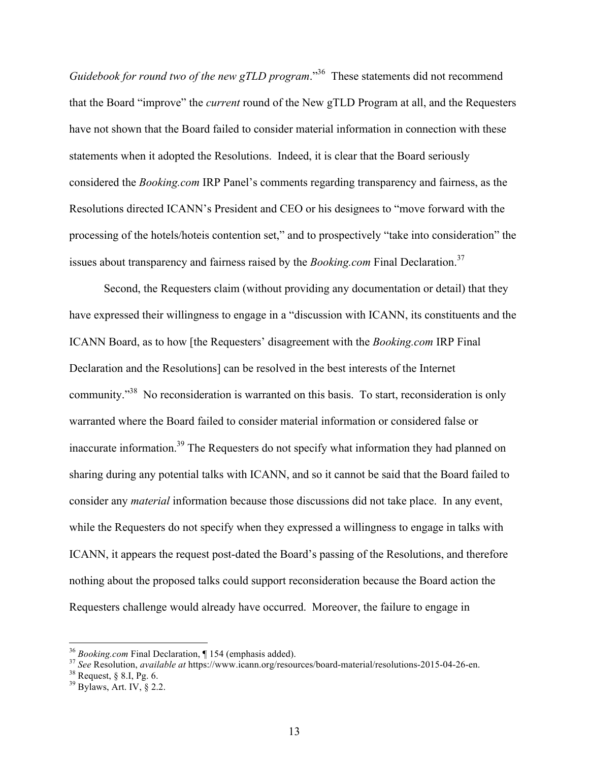*Guidebook for round two of the new gTLD program.*"<sup>36</sup> These statements did not recommend that the Board "improve" the *current* round of the New gTLD Program at all, and the Requesters have not shown that the Board failed to consider material information in connection with these statements when it adopted the Resolutions. Indeed, it is clear that the Board seriously considered the *Booking.com* IRP Panel's comments regarding transparency and fairness, as the Resolutions directed ICANN's President and CEO or his designees to "move forward with the processing of the hotels/hoteis contention set," and to prospectively "take into consideration" the issues about transparency and fairness raised by the *Booking.com* Final Declaration.<sup>37</sup>

Second, the Requesters claim (without providing any documentation or detail) that they have expressed their willingness to engage in a "discussion with ICANN, its constituents and the ICANN Board, as to how [the Requesters' disagreement with the *Booking.com* IRP Final Declaration and the Resolutions] can be resolved in the best interests of the Internet community."<sup>38</sup> No reconsideration is warranted on this basis. To start, reconsideration is only warranted where the Board failed to consider material information or considered false or inaccurate information.39 The Requesters do not specify what information they had planned on sharing during any potential talks with ICANN, and so it cannot be said that the Board failed to consider any *material* information because those discussions did not take place. In any event, while the Requesters do not specify when they expressed a willingness to engage in talks with ICANN, it appears the request post-dated the Board's passing of the Resolutions, and therefore nothing about the proposed talks could support reconsideration because the Board action the Requesters challenge would already have occurred. Moreover, the failure to engage in

<sup>&</sup>lt;sup>36</sup> Booking.com Final Declaration,  $\P$  154 (emphasis added).<br><sup>37</sup> See Resolution, *available at* https://www.icann.org/resources/board-material/resolutions-2015-04-26-en.<br><sup>38</sup> Request, § 8.I, Pg. 6.<br><sup>39</sup> Bylaws, Art. IV,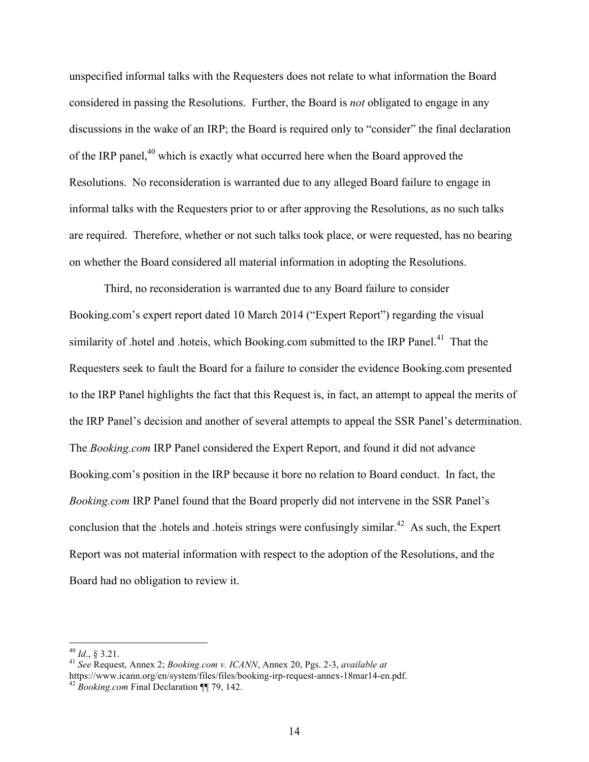unspecified informal talks with the Requesters does not relate to what information the Board considered in passing the Resolutions. Further, the Board is *not* obligated to engage in any discussions in the wake of an IRP; the Board is required only to "consider" the final declaration of the IRP panel,<sup>40</sup> which is exactly what occurred here when the Board approved the Resolutions. No reconsideration is warranted due to any alleged Board failure to engage in informal talks with the Requesters prior to or after approving the Resolutions, as no such talks are required. Therefore, whether or not such talks took place, or were requested, has no bearing on whether the Board considered all material information in adopting the Resolutions.

Third, no reconsideration is warranted due to any Board failure to consider Booking.com's expert report dated 10 March 2014 ("Expert Report") regarding the visual similarity of .hotel and .hoteis, which Booking.com submitted to the IRP Panel.<sup>41</sup> That the Requesters seek to fault the Board for a failure to consider the evidence Booking.com presented to the IRP Panel highlights the fact that this Request is, in fact, an attempt to appeal the merits of the IRP Panel's decision and another of several attempts to appeal the SSR Panel's determination. The *Booking.com* IRP Panel considered the Expert Report, and found it did not advance Booking.com's position in the IRP because it bore no relation to Board conduct. In fact, the *Booking.com* IRP Panel found that the Board properly did not intervene in the SSR Panel's conclusion that the .hotels and .hoteis strings were confusingly similar.<sup>42</sup> As such, the Expert Report was not material information with respect to the adoption of the Resolutions, and the Board had no obligation to review it.

<sup>40</sup> *Id*., § 3.21. <sup>41</sup> *See* Request, Annex 2; *Booking.com v. ICANN*, Annex 20, Pgs. 2-3, *available at* https://www.icann.org/en/system/files/files/booking-irp-request-annex-18mar14-en.pdf. <sup>42</sup> *Booking.com* Final Declaration ¶¶ 79, 142.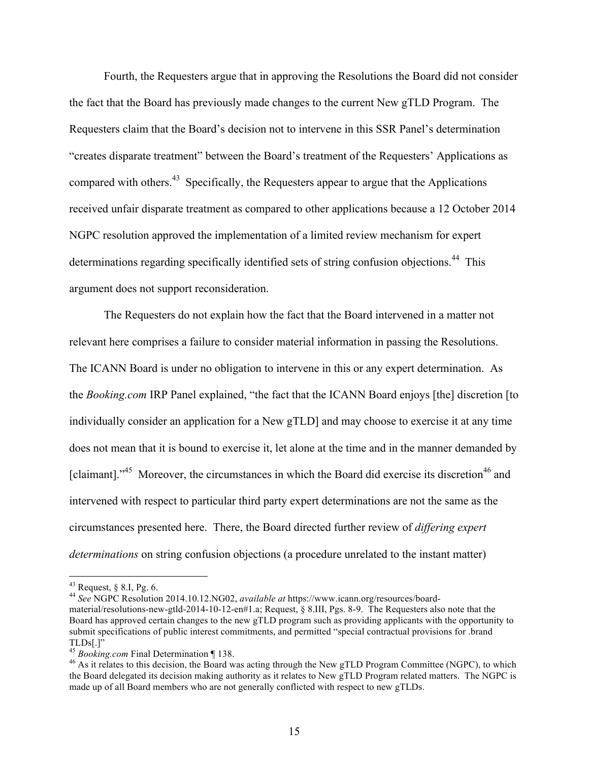Fourth, the Requesters argue that in approving the Resolutions the Board did not consider the fact that the Board has previously made changes to the current New gTLD Program. The Requesters claim that the Board's decision not to intervene in this SSR Panel's determination "creates disparate treatment" between the Board's treatment of the Requesters' Applications as compared with others. $43$  Specifically, the Requesters appear to argue that the Applications received unfair disparate treatment as compared to other applications because a 12 October 2014 NGPC resolution approved the implementation of a limited review mechanism for expert determinations regarding specifically identified sets of string confusion objections.<sup>44</sup> This argument does not support reconsideration.

The Requesters do not explain how the fact that the Board intervened in a matter not relevant here comprises a failure to consider material information in passing the Resolutions. The ICANN Board is under no obligation to intervene in this or any expert determination. As the *Booking.com* IRP Panel explained, "the fact that the ICANN Board enjoys [the] discretion [to individually consider an application for a New gTLD] and may choose to exercise it at any time does not mean that it is bound to exercise it, let alone at the time and in the manner demanded by [claimant]."<sup>45</sup> Moreover, the circumstances in which the Board did exercise its discretion<sup>46</sup> and intervened with respect to particular third party expert determinations are not the same as the circumstances presented here. There, the Board directed further review of *differing expert determinations* on string confusion objections (a procedure unrelated to the instant matter)

<sup>43</sup> Request, § 8.I, Pg. 6. 44 *See* NGPC Resolution 2014.10.12.NG02, *available at* https://www.icann.org/resources/board-

material/resolutions-new-gtld-2014-10-12-en#1.a; Request, § 8.III, Pgs. 8-9. The Requesters also note that the Board has approved certain changes to the new gTLD program such as providing applicants with the opportunity to submit specifications of public interest commitments, and permitted "special contractual provisions for .brand

TLDs[.]"<br><sup>45</sup> Booking.com Final Determination ¶ 138.

<sup>&</sup>lt;sup>46</sup> As it relates to this decision, the Board was acting through the New gTLD Program Committee (NGPC), to which the Board delegated its decision making authority as it relates to New gTLD Program related matters. The NGPC is made up of all Board members who are not generally conflicted with respect to new gTLDs.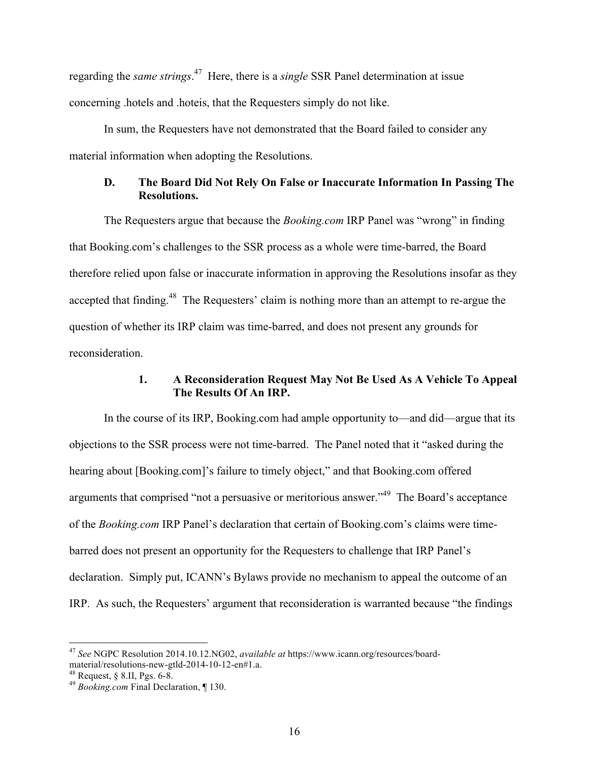regarding the *same strings*. 47 Here, there is a *single* SSR Panel determination at issue concerning .hotels and .hoteis, that the Requesters simply do not like.

In sum, the Requesters have not demonstrated that the Board failed to consider any material information when adopting the Resolutions.

# **D. The Board Did Not Rely On False or Inaccurate Information In Passing The Resolutions.**

The Requesters argue that because the *Booking.com* IRP Panel was "wrong" in finding that Booking.com's challenges to the SSR process as a whole were time-barred, the Board therefore relied upon false or inaccurate information in approving the Resolutions insofar as they accepted that finding.<sup>48</sup> The Requesters' claim is nothing more than an attempt to re-argue the question of whether its IRP claim was time-barred, and does not present any grounds for reconsideration.

## **1. A Reconsideration Request May Not Be Used As A Vehicle To Appeal The Results Of An IRP.**

In the course of its IRP, Booking.com had ample opportunity to—and did—argue that its objections to the SSR process were not time-barred. The Panel noted that it "asked during the hearing about [Booking.com]'s failure to timely object," and that Booking.com offered arguments that comprised "not a persuasive or meritorious answer."49 The Board's acceptance of the *Booking.com* IRP Panel's declaration that certain of Booking.com's claims were timebarred does not present an opportunity for the Requesters to challenge that IRP Panel's declaration. Simply put, ICANN's Bylaws provide no mechanism to appeal the outcome of an IRP. As such, the Requesters' argument that reconsideration is warranted because "the findings

 <sup>47</sup> *See* NGPC Resolution 2014.10.12.NG02, *available at* https://www.icann.org/resources/boardmaterial/resolutions-new-gtld-2014-10-12-en#1.a. <sup>48</sup> Request, § 8.II, Pgs. 6-8.<br><sup>49</sup> *Booking.com* Final Declaration, ¶ 130.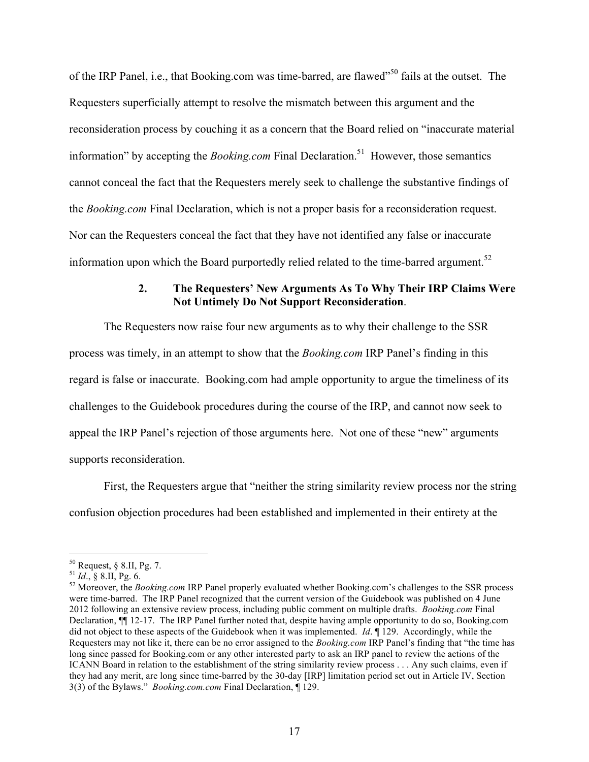of the IRP Panel, i.e., that Booking.com was time-barred, are flawed"50 fails at the outset. The Requesters superficially attempt to resolve the mismatch between this argument and the reconsideration process by couching it as a concern that the Board relied on "inaccurate material information" by accepting the *Booking.com* Final Declaration.<sup>51</sup> However, those semantics cannot conceal the fact that the Requesters merely seek to challenge the substantive findings of the *Booking.com* Final Declaration, which is not a proper basis for a reconsideration request. Nor can the Requesters conceal the fact that they have not identified any false or inaccurate information upon which the Board purportedly relied related to the time-barred argument.<sup>52</sup>

## **2. The Requesters' New Arguments As To Why Their IRP Claims Were Not Untimely Do Not Support Reconsideration**.

The Requesters now raise four new arguments as to why their challenge to the SSR process was timely, in an attempt to show that the *Booking.com* IRP Panel's finding in this regard is false or inaccurate. Booking.com had ample opportunity to argue the timeliness of its challenges to the Guidebook procedures during the course of the IRP, and cannot now seek to appeal the IRP Panel's rejection of those arguments here. Not one of these "new" arguments supports reconsideration.

First, the Requesters argue that "neither the string similarity review process nor the string confusion objection procedures had been established and implemented in their entirety at the

<sup>&</sup>lt;sup>50</sup> Request, § 8.II, Pg. 7.<br><sup>51</sup> *Id.*, § 8.II, Pg. 6.<br><sup>52</sup> Moreover, the *Booking.com* IRP Panel properly evaluated whether Booking.com's challenges to the SSR process were time-barred. The IRP Panel recognized that the current version of the Guidebook was published on 4 June 2012 following an extensive review process, including public comment on multiple drafts. *Booking.com* Final Declaration, ¶¶ 12-17. The IRP Panel further noted that, despite having ample opportunity to do so, Booking.com did not object to these aspects of the Guidebook when it was implemented. *Id*. ¶ 129. Accordingly, while the Requesters may not like it, there can be no error assigned to the *Booking.com* IRP Panel's finding that "the time has long since passed for Booking.com or any other interested party to ask an IRP panel to review the actions of the ICANN Board in relation to the establishment of the string similarity review process . . . Any such claims, even if they had any merit, are long since time-barred by the 30-day [IRP] limitation period set out in Article IV, Section 3(3) of the Bylaws." *Booking.com.com* Final Declaration, ¶ 129.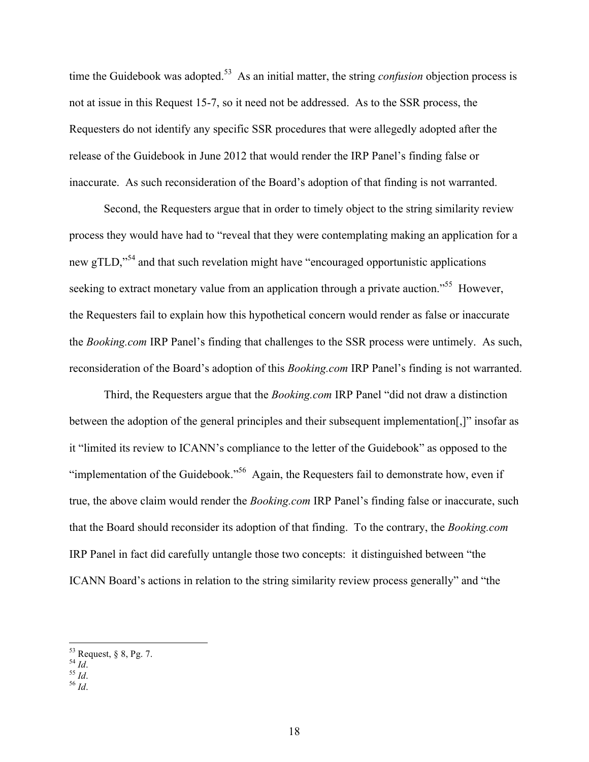time the Guidebook was adopted.<sup>53</sup> As an initial matter, the string *confusion* objection process is not at issue in this Request 15-7, so it need not be addressed. As to the SSR process, the Requesters do not identify any specific SSR procedures that were allegedly adopted after the release of the Guidebook in June 2012 that would render the IRP Panel's finding false or inaccurate. As such reconsideration of the Board's adoption of that finding is not warranted.

Second, the Requesters argue that in order to timely object to the string similarity review process they would have had to "reveal that they were contemplating making an application for a new gTLD,"<sup>54</sup> and that such revelation might have "encouraged opportunistic applications seeking to extract monetary value from an application through a private auction.<sup>555</sup> However, the Requesters fail to explain how this hypothetical concern would render as false or inaccurate the *Booking.com* IRP Panel's finding that challenges to the SSR process were untimely. As such, reconsideration of the Board's adoption of this *Booking.com* IRP Panel's finding is not warranted.

Third, the Requesters argue that the *Booking.com* IRP Panel "did not draw a distinction between the adoption of the general principles and their subsequent implementation[,]" insofar as it "limited its review to ICANN's compliance to the letter of the Guidebook" as opposed to the "implementation of the Guidebook."<sup>56</sup> Again, the Requesters fail to demonstrate how, even if true, the above claim would render the *Booking.com* IRP Panel's finding false or inaccurate, such that the Board should reconsider its adoption of that finding. To the contrary, the *Booking.com* IRP Panel in fact did carefully untangle those two concepts: it distinguished between "the ICANN Board's actions in relation to the string similarity review process generally" and "the

<sup>53</sup> Request, § 8, Pg. 7. <sup>54</sup> *Id*. <sup>55</sup> *Id*. <sup>56</sup> *Id*.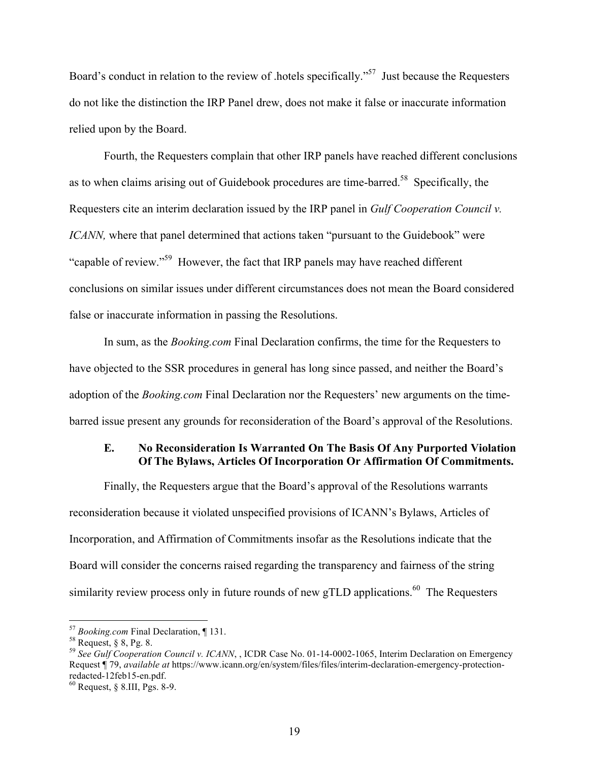Board's conduct in relation to the review of .hotels specifically."<sup>57</sup> Just because the Requesters do not like the distinction the IRP Panel drew, does not make it false or inaccurate information relied upon by the Board.

Fourth, the Requesters complain that other IRP panels have reached different conclusions as to when claims arising out of Guidebook procedures are time-barred.<sup>58</sup> Specifically, the Requesters cite an interim declaration issued by the IRP panel in *Gulf Cooperation Council v. ICANN*, where that panel determined that actions taken "pursuant to the Guidebook" were "capable of review."59 However, the fact that IRP panels may have reached different conclusions on similar issues under different circumstances does not mean the Board considered false or inaccurate information in passing the Resolutions.

In sum, as the *Booking.com* Final Declaration confirms, the time for the Requesters to have objected to the SSR procedures in general has long since passed, and neither the Board's adoption of the *Booking.com* Final Declaration nor the Requesters' new arguments on the timebarred issue present any grounds for reconsideration of the Board's approval of the Resolutions.

#### **E. No Reconsideration Is Warranted On The Basis Of Any Purported Violation Of The Bylaws, Articles Of Incorporation Or Affirmation Of Commitments.**

Finally, the Requesters argue that the Board's approval of the Resolutions warrants reconsideration because it violated unspecified provisions of ICANN's Bylaws, Articles of Incorporation, and Affirmation of Commitments insofar as the Resolutions indicate that the Board will consider the concerns raised regarding the transparency and fairness of the string similarity review process only in future rounds of new gTLD applications.<sup>60</sup> The Requesters

<sup>&</sup>lt;sup>57</sup> *Booking.com* Final Declaration, ¶ 131.<br><sup>58</sup> Request, § 8, Pg. 8.<br><sup>59</sup> *See Gulf Cooperation Council v. ICANN*, , ICDR Case No. 01-14-0002-1065, Interim Declaration on Emergency Request ¶ 79, *available at* https://www.icann.org/en/system/files/files/interim-declaration-emergency-protection-

 $^{60}$  Request, § 8.III, Pgs. 8-9.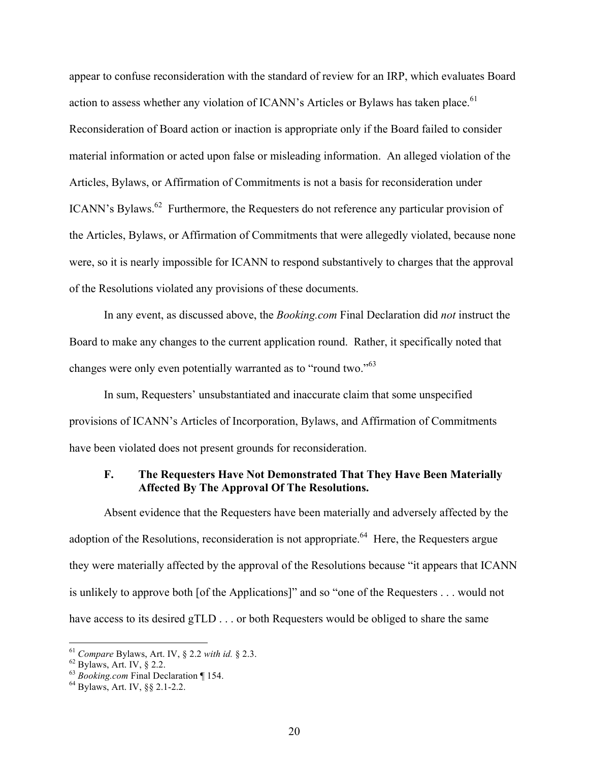appear to confuse reconsideration with the standard of review for an IRP, which evaluates Board action to assess whether any violation of ICANN's Articles or Bylaws has taken place.<sup>61</sup> Reconsideration of Board action or inaction is appropriate only if the Board failed to consider material information or acted upon false or misleading information. An alleged violation of the Articles, Bylaws, or Affirmation of Commitments is not a basis for reconsideration under ICANN's Bylaws.<sup>62</sup> Furthermore, the Requesters do not reference any particular provision of the Articles, Bylaws, or Affirmation of Commitments that were allegedly violated, because none were, so it is nearly impossible for ICANN to respond substantively to charges that the approval of the Resolutions violated any provisions of these documents.

In any event, as discussed above, the *Booking.com* Final Declaration did *not* instruct the Board to make any changes to the current application round. Rather, it specifically noted that changes were only even potentially warranted as to "round two."<sup>63</sup>

In sum, Requesters' unsubstantiated and inaccurate claim that some unspecified provisions of ICANN's Articles of Incorporation, Bylaws, and Affirmation of Commitments have been violated does not present grounds for reconsideration.

## **F. The Requesters Have Not Demonstrated That They Have Been Materially Affected By The Approval Of The Resolutions.**

Absent evidence that the Requesters have been materially and adversely affected by the adoption of the Resolutions, reconsideration is not appropriate.<sup>64</sup> Here, the Requesters argue they were materially affected by the approval of the Resolutions because "it appears that ICANN is unlikely to approve both [of the Applications]" and so "one of the Requesters . . . would not have access to its desired gTLD . . . or both Requesters would be obliged to share the same

<sup>&</sup>lt;sup>61</sup> *Compare* Bylaws, Art. IV, § 2.2 *with id.* § 2.3.<br><sup>62</sup> Bylaws, Art. IV, § 2.2.<br><sup>63</sup> *Booking.com* Final Declaration ¶ 154.<br><sup>64</sup> Bylaws. Art. IV, §§ 2.1-2.2.